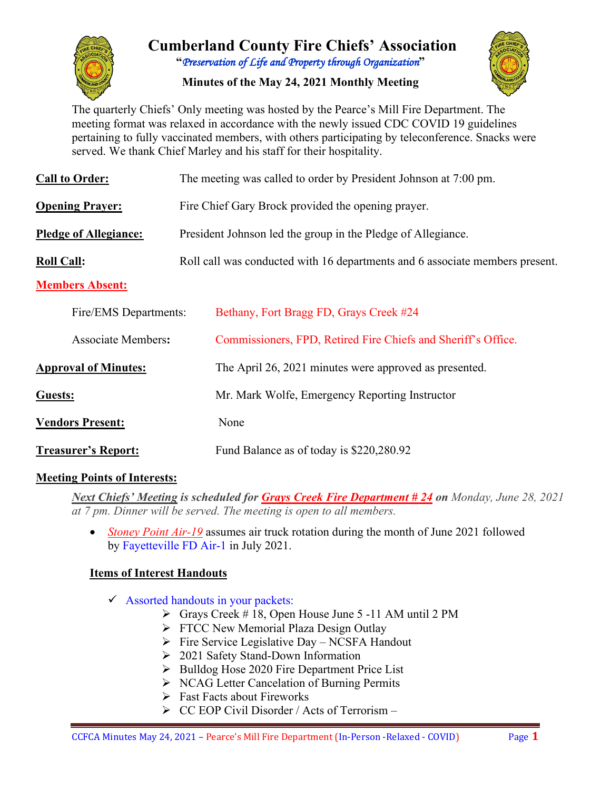

# **Cumberland County Fire Chiefs' Association "***Preservation of Life and Property through Organization***"**

**Minutes of the May 24, 2021 Monthly Meeting**



The quarterly Chiefs' Only meeting was hosted by the Pearce's Mill Fire Department. The meeting format was relaxed in accordance with the newly issued CDC COVID 19 guidelines pertaining to fully vaccinated members, with others participating by teleconference. Snacks were served. We thank Chief Marley and his staff for their hospitality.

| <b>Call to Order:</b>        | The meeting was called to order by President Johnson at 7:00 pm.             |  |  |  |  |  |  |  |  |  |
|------------------------------|------------------------------------------------------------------------------|--|--|--|--|--|--|--|--|--|
| <b>Opening Prayer:</b>       | Fire Chief Gary Brock provided the opening prayer.                           |  |  |  |  |  |  |  |  |  |
| <b>Pledge of Allegiance:</b> | President Johnson led the group in the Pledge of Allegiance.                 |  |  |  |  |  |  |  |  |  |
| <b>Roll Call:</b>            | Roll call was conducted with 16 departments and 6 associate members present. |  |  |  |  |  |  |  |  |  |
| <b>Members Absent:</b>       |                                                                              |  |  |  |  |  |  |  |  |  |
| Fire/EMS Departments:        | Bethany, Fort Bragg FD, Grays Creek #24                                      |  |  |  |  |  |  |  |  |  |
| <b>Associate Members:</b>    | Commissioners, FPD, Retired Fire Chiefs and Sheriff's Office.                |  |  |  |  |  |  |  |  |  |
| <b>Approval of Minutes:</b>  | The April 26, 2021 minutes were approved as presented.                       |  |  |  |  |  |  |  |  |  |
| Guests:                      | Mr. Mark Wolfe, Emergency Reporting Instructor                               |  |  |  |  |  |  |  |  |  |
| <b>Vendors Present:</b>      | None                                                                         |  |  |  |  |  |  |  |  |  |
| <b>Treasurer's Report:</b>   | Fund Balance as of today is \$220,280.92                                     |  |  |  |  |  |  |  |  |  |

#### **Meeting Points of Interests:**

*Next Chiefs' Meeting is scheduled for Grays Creek Fire Department # 24 on Monday, June 28, 2021 at 7 pm. Dinner will be served. The meeting is open to all members.* 

• *Stoney Point Air-19* assumes air truck rotation during the month of June 2021 followed by Fayetteville FD Air-1 in July 2021.

### **Items of Interest Handouts**

- $\checkmark$  Assorted handouts in your packets:
	- $\triangleright$  Grays Creek # 18, Open House June 5 -11 AM until 2 PM
	- $\triangleright$  FTCC New Memorial Plaza Design Outlay
	- $\triangleright$  Fire Service Legislative Day NCSFA Handout
	- ▶ 2021 Safety Stand-Down Information
	- $\triangleright$  Bulldog Hose 2020 Fire Department Price List
	- ▶ NCAG Letter Cancelation of Burning Permits
	- $\triangleright$  Fast Facts about Fireworks
	- $\triangleright$  CC EOP Civil Disorder / Acts of Terrorism –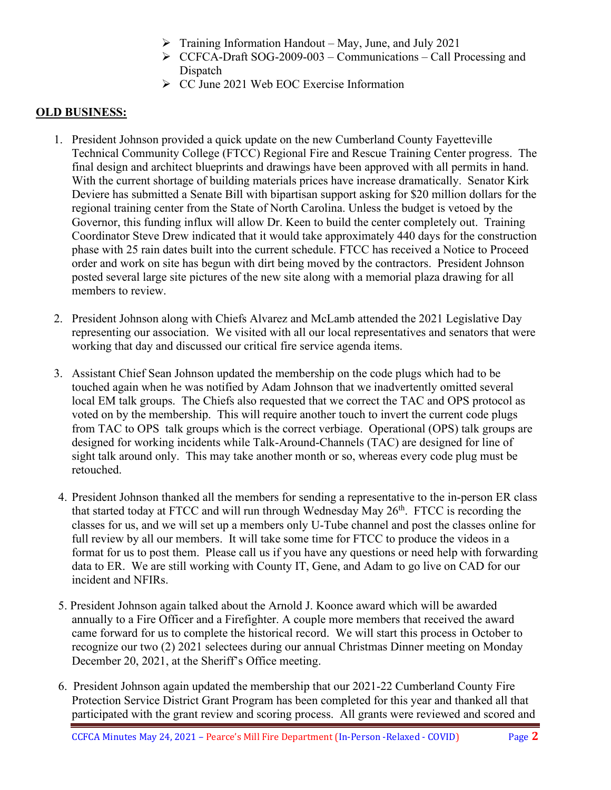- $\triangleright$  Training Information Handout May, June, and July 2021
- $\triangleright$  CCFCA-Draft SOG-2009-003 Communications Call Processing and Dispatch
- $\triangleright$  CC June 2021 Web EOC Exercise Information

#### **OLD BUSINESS:**

- 1. President Johnson provided a quick update on the new Cumberland County Fayetteville Technical Community College (FTCC) Regional Fire and Rescue Training Center progress. The final design and architect blueprints and drawings have been approved with all permits in hand. With the current shortage of building materials prices have increase dramatically. Senator Kirk Deviere has submitted a Senate Bill with bipartisan support asking for \$20 million dollars for the regional training center from the State of North Carolina. Unless the budget is vetoed by the Governor, this funding influx will allow Dr. Keen to build the center completely out. Training Coordinator Steve Drew indicated that it would take approximately 440 days for the construction phase with 25 rain dates built into the current schedule. FTCC has received a Notice to Proceed order and work on site has begun with dirt being moved by the contractors. President Johnson posted several large site pictures of the new site along with a memorial plaza drawing for all members to review.
- 2. President Johnson along with Chiefs Alvarez and McLamb attended the 2021 Legislative Day representing our association. We visited with all our local representatives and senators that were working that day and discussed our critical fire service agenda items.
- 3. Assistant Chief Sean Johnson updated the membership on the code plugs which had to be touched again when he was notified by Adam Johnson that we inadvertently omitted several local EM talk groups. The Chiefs also requested that we correct the TAC and OPS protocol as voted on by the membership. This will require another touch to invert the current code plugs from TAC to OPS talk groups which is the correct verbiage. Operational (OPS) talk groups are designed for working incidents while Talk-Around-Channels (TAC) are designed for line of sight talk around only. This may take another month or so, whereas every code plug must be retouched.
- 4. President Johnson thanked all the members for sending a representative to the in-person ER class that started today at FTCC and will run through Wednesday May  $26<sup>th</sup>$ . FTCC is recording the classes for us, and we will set up a members only U-Tube channel and post the classes online for full review by all our members. It will take some time for FTCC to produce the videos in a format for us to post them. Please call us if you have any questions or need help with forwarding data to ER. We are still working with County IT, Gene, and Adam to go live on CAD for our incident and NFIRs.
- 5. President Johnson again talked about the Arnold J. Koonce award which will be awarded annually to a Fire Officer and a Firefighter. A couple more members that received the award came forward for us to complete the historical record. We will start this process in October to recognize our two (2) 2021 selectees during our annual Christmas Dinner meeting on Monday December 20, 2021, at the Sheriff's Office meeting.
- 6. President Johnson again updated the membership that our 2021-22 Cumberland County Fire Protection Service District Grant Program has been completed for this year and thanked all that participated with the grant review and scoring process. All grants were reviewed and scored and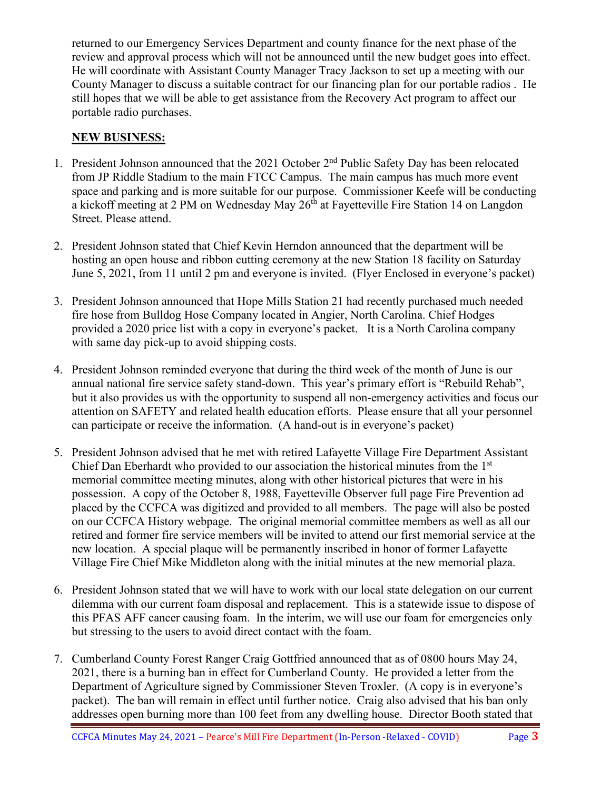returned to our Emergency Services Department and county finance for the next phase of the review and approval process which will not be announced until the new budget goes into effect. He will coordinate with Assistant County Manager Tracy Jackson to set up a meeting with our County Manager to discuss a suitable contract for our financing plan for our portable radios . He still hopes that we will be able to get assistance from the Recovery Act program to affect our portable radio purchases.

#### **NEW BUSINESS:**

- 1. President Johnson announced that the 2021 October 2<sup>nd</sup> Public Safety Day has been relocated from JP Riddle Stadium to the main FTCC Campus. The main campus has much more event space and parking and is more suitable for our purpose. Commissioner Keefe will be conducting a kickoff meeting at 2 PM on Wednesday May 26<sup>th</sup> at Fayetteville Fire Station 14 on Langdon Street. Please attend.
- 2. President Johnson stated that Chief Kevin Herndon announced that the department will be hosting an open house and ribbon cutting ceremony at the new Station 18 facility on Saturday June 5, 2021, from 11 until 2 pm and everyone is invited. (Flyer Enclosed in everyone's packet)
- 3. President Johnson announced that Hope Mills Station 21 had recently purchased much needed fire hose from Bulldog Hose Company located in Angier, North Carolina. Chief Hodges provided a 2020 price list with a copy in everyone's packet. It is a North Carolina company with same day pick-up to avoid shipping costs.
- 4. President Johnson reminded everyone that during the third week of the month of June is our annual national fire service safety stand-down. This year's primary effort is "Rebuild Rehab", but it also provides us with the opportunity to suspend all non-emergency activities and focus our attention on SAFETY and related health education efforts. Please ensure that all your personnel can participate or receive the information. (A hand-out is in everyone's packet)
- 5. President Johnson advised that he met with retired Lafayette Village Fire Department Assistant Chief Dan Eberhardt who provided to our association the historical minutes from the 1st memorial committee meeting minutes, along with other historical pictures that were in his possession. A copy of the October 8, 1988, Fayetteville Observer full page Fire Prevention ad placed by the CCFCA was digitized and provided to all members. The page will also be posted on our CCFCA History webpage. The original memorial committee members as well as all our retired and former fire service members will be invited to attend our first memorial service at the new location. A special plaque will be permanently inscribed in honor of former Lafayette Village Fire Chief Mike Middleton along with the initial minutes at the new memorial plaza.
- 6. President Johnson stated that we will have to work with our local state delegation on our current dilemma with our current foam disposal and replacement. This is a statewide issue to dispose of this PFAS AFF cancer causing foam. In the interim, we will use our foam for emergencies only but stressing to the users to avoid direct contact with the foam.
- 7. Cumberland County Forest Ranger Craig Gottfried announced that as of 0800 hours May 24, 2021, there is a burning ban in effect for Cumberland County. He provided a letter from the Department of Agriculture signed by Commissioner Steven Troxler. (A copy is in everyone's packet). The ban will remain in effect until further notice. Craig also advised that his ban only addresses open burning more than 100 feet from any dwelling house. Director Booth stated that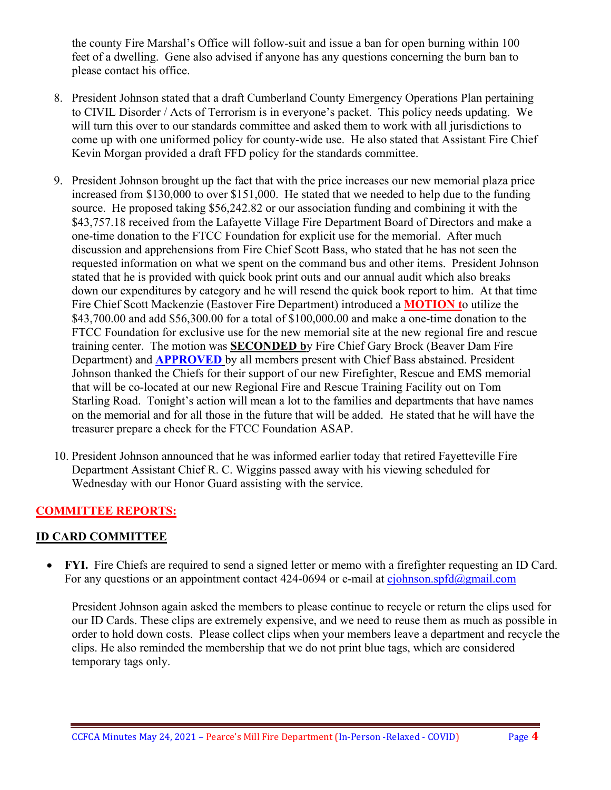the county Fire Marshal's Office will follow-suit and issue a ban for open burning within 100 feet of a dwelling. Gene also advised if anyone has any questions concerning the burn ban to please contact his office.

- 8. President Johnson stated that a draft Cumberland County Emergency Operations Plan pertaining to CIVIL Disorder / Acts of Terrorism is in everyone's packet. This policy needs updating. We will turn this over to our standards committee and asked them to work with all jurisdictions to come up with one uniformed policy for county-wide use. He also stated that Assistant Fire Chief Kevin Morgan provided a draft FFD policy for the standards committee.
- 9. President Johnson brought up the fact that with the price increases our new memorial plaza price increased from \$130,000 to over \$151,000. He stated that we needed to help due to the funding source. He proposed taking \$56,242.82 or our association funding and combining it with the \$43,757.18 received from the Lafayette Village Fire Department Board of Directors and make a one-time donation to the FTCC Foundation for explicit use for the memorial. After much discussion and apprehensions from Fire Chief Scott Bass, who stated that he has not seen the requested information on what we spent on the command bus and other items. President Johnson stated that he is provided with quick book print outs and our annual audit which also breaks down our expenditures by category and he will resend the quick book report to him. At that time Fire Chief Scott Mackenzie (Eastover Fire Department) introduced a **MOTION t**o utilize the \$43,700.00 and add \$56,300.00 for a total of \$100,000.00 and make a one-time donation to the FTCC Foundation for exclusive use for the new memorial site at the new regional fire and rescue training center. The motion was **SECONDED b**y Fire Chief Gary Brock (Beaver Dam Fire Department) and **APPROVED** by all members present with Chief Bass abstained. President Johnson thanked the Chiefs for their support of our new Firefighter, Rescue and EMS memorial that will be co-located at our new Regional Fire and Rescue Training Facility out on Tom Starling Road. Tonight's action will mean a lot to the families and departments that have names on the memorial and for all those in the future that will be added. He stated that he will have the treasurer prepare a check for the FTCC Foundation ASAP.
- 10. President Johnson announced that he was informed earlier today that retired Fayetteville Fire Department Assistant Chief R. C. Wiggins passed away with his viewing scheduled for Wednesday with our Honor Guard assisting with the service.

### **COMMITTEE REPORTS:**

### **ID CARD COMMITTEE**

• **FYI.** Fire Chiefs are required to send a signed letter or memo with a firefighter requesting an ID Card. For any questions or an appointment contact 424-0694 or e-mail at [cjohnson.spfd@gmail.com](mailto:cjohnson.spfd@gmail.com)

President Johnson again asked the members to please continue to recycle or return the clips used for our ID Cards. These clips are extremely expensive, and we need to reuse them as much as possible in order to hold down costs. Please collect clips when your members leave a department and recycle the clips. He also reminded the membership that we do not print blue tags, which are considered temporary tags only.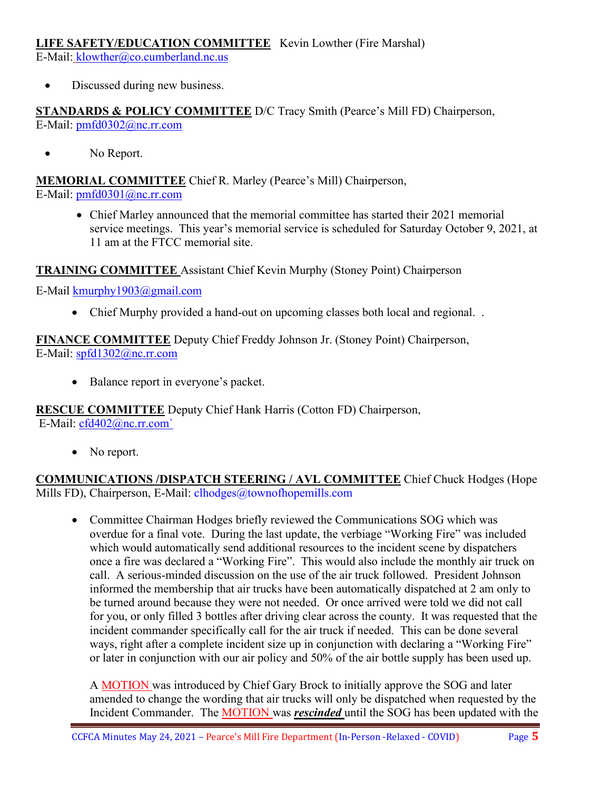#### **LIFE SAFETY/EDUCATION COMMITTEE** Kevin Lowther (Fire Marshal)

E-Mail: [klowther@co.cumberland.nc.us](mailto:klowther@co.cumberland.nc.us)

• Discussed during new business.

#### **STANDARDS & POLICY COMMITTEE** D/C Tracy Smith (Pearce's Mill FD) Chairperson, E-Mail: [pmfd0302@nc.rr.com](mailto:pmfd0302@nc.rr.com)

• No Report.

**MEMORIAL COMMITTEE** Chief R. Marley (Pearce's Mill) Chairperson, E-Mail: [pmfd0301@nc.rr.com](mailto:pmfd0301@nc.rr.com)

> • Chief Marley announced that the memorial committee has started their 2021 memorial service meetings. This year's memorial service is scheduled for Saturday October 9, 2021, at 11 am at the FTCC memorial site.

**TRAINING COMMITTEE** Assistant Chief Kevin Murphy (Stoney Point) Chairperson

E-Mail [kmurphy1903@gmail.com](mailto:kmurphy1903@gmail.com)

• Chief Murphy provided a hand-out on upcoming classes both local and regional. .

**FINANCE COMMITTEE** Deputy Chief Freddy Johnson Jr. (Stoney Point) Chairperson, E-Mail: [spfd1302@nc.rr.com](mailto:spfd1302@nc.rr.com)

• Balance report in everyone's packet.

# **RESCUE COMMITTEE** Deputy Chief Hank Harris (Cotton FD) Chairperson,

E-Mail: [cfd402@nc.rr.com`](mailto:cfd402@nc.rr.com)

• No report.

**COMMUNICATIONS /DISPATCH STEERING / AVL COMMITTEE** Chief Chuck Hodges (Hope Mills FD), Chairperson, E-Mail: clhodges@townofhopemills.com

• Committee Chairman Hodges briefly reviewed the Communications SOG which was overdue for a final vote. During the last update, the verbiage "Working Fire" was included which would automatically send additional resources to the incident scene by dispatchers once a fire was declared a "Working Fire". This would also include the monthly air truck on call. A serious-minded discussion on the use of the air truck followed. President Johnson informed the membership that air trucks have been automatically dispatched at 2 am only to be turned around because they were not needed. Or once arrived were told we did not call for you, or only filled 3 bottles after driving clear across the county. It was requested that the incident commander specifically call for the air truck if needed. This can be done several ways, right after a complete incident size up in conjunction with declaring a "Working Fire" or later in conjunction with our air policy and 50% of the air bottle supply has been used up.

A MOTION was introduced by Chief Gary Brock to initially approve the SOG and later amended to change the wording that air trucks will only be dispatched when requested by the Incident Commander. The MOTION was *rescinded* until the SOG has been updated with the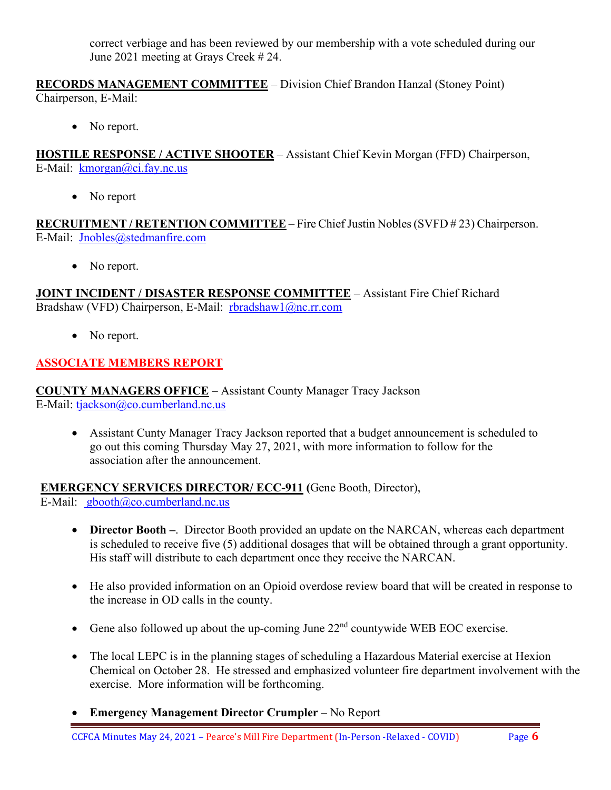correct verbiage and has been reviewed by our membership with a vote scheduled during our June 2021 meeting at Grays Creek # 24.

**RECORDS MANAGEMENT COMMITTEE** – Division Chief Brandon Hanzal (Stoney Point) Chairperson, E-Mail:

• No report.

**HOSTILE RESPONSE / ACTIVE SHOOTER** – Assistant Chief Kevin Morgan (FFD) Chairperson, E-Mail: [kmorgan@ci.fay.nc.us](mailto:kmorgan@ci.fay.nc.us)

• No report

**RECRUITMENT / RETENTION COMMITTEE** – Fire Chief Justin Nobles (SVFD # 23) Chairperson. E-Mail: [Jnobles@stedmanfire.com](mailto:Jnobles@stedmanfire.com)

• No report.

**JOINT INCIDENT / DISASTER RESPONSE COMMITTEE** – Assistant Fire Chief Richard Bradshaw (VFD) Chairperson, E-Mail: [rbradshaw1@nc.rr.com](mailto:rbradshaw1@nc.rr.com)

• No report.

### **ASSOCIATE MEMBERS REPORT**

**COUNTY MANAGERS OFFICE** – Assistant County Manager Tracy Jackson E-Mail: [tjackson@co.cumberland.nc.us](mailto:tjackson@co.cumberland.nc.us)

• Assistant Cunty Manager Tracy Jackson reported that a budget announcement is scheduled to go out this coming Thursday May 27, 2021, with more information to follow for the association after the announcement.

**EMERGENCY SERVICES DIRECTOR/ ECC-911 (**Gene Booth, Director),

E-Mail:  $\text{gbooth}(\partial \text{co}.\text{cumberland}.\text{nc.us})$ 

- **Director Booth –**. Director Booth provided an update on the NARCAN, whereas each department is scheduled to receive five (5) additional dosages that will be obtained through a grant opportunity. His staff will distribute to each department once they receive the NARCAN.
- He also provided information on an Opioid overdose review board that will be created in response to the increase in OD calls in the county.
- Gene also followed up about the up-coming June  $22<sup>nd</sup>$  countywide WEB EOC exercise.
- The local LEPC is in the planning stages of scheduling a Hazardous Material exercise at Hexion Chemical on October 28. He stressed and emphasized volunteer fire department involvement with the exercise. More information will be forthcoming.
- **Emergency Management Director Crumpler** No Report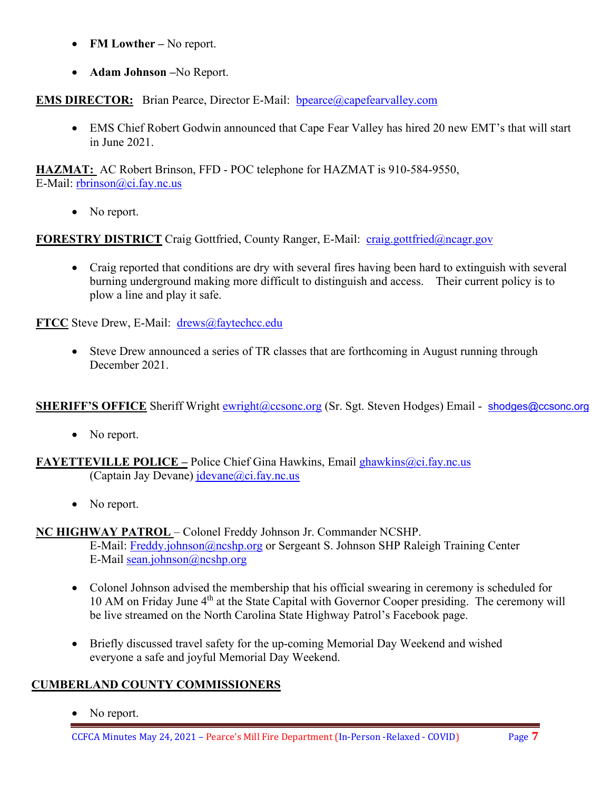- **FM Lowther –** No report.
- **Adam Johnson –**No Report.

**EMS DIRECTOR:** Brian Pearce, Director E-Mail: bpearce@capefearvalley.com

• EMS Chief Robert Godwin announced that Cape Fear Valley has hired 20 new EMT's that will start in June 2021.

**HAZMAT:** AC Robert Brinson, FFD - POC telephone for HAZMAT is 910-584-9550, E-Mail: [rbrinson@ci.fay.nc.us](mailto:rbrinson@ci.fay.nc.us)

• No report.

**FORESTRY DISTRICT** Craig Gottfried, County Ranger, E-Mail: [craig.gottfried@ncagr.gov](mailto:craig.gottfried@ncagr.gov)

• Craig reported that conditions are dry with several fires having been hard to extinguish with several burning underground making more difficult to distinguish and access. Their current policy is to plow a line and play it safe.

**FTCC** Steve Drew, E-Mail: [drews@faytechcc.edu](mailto:drews@faytechcc.edu)

• Steve Drew announced a series of TR classes that are forthcoming in August running through December 2021.

**SHERIFF'S OFFICE** Sheriff Wright [ewright@ccsonc.org](mailto:ewright@ccsonc.org) (Sr. Sgt. Steven Hodges) Email - [shodges@ccsonc.org](mailto:shodges@ccsonc.org)

- No report.
- **FAYETTEVILLE POLICE –** Police Chief Gina Hawkins, Email ghawkins@ci.fay.nc.us (Captain Jay Devane)  $idevane@ci.fay.nc.us$ 
	- No report.

**NC HIGHWAY PATROL** – Colonel Freddy Johnson Jr. Commander NCSHP.

E-Mail: [Freddy.johnson@ncshp.org](mailto:Freddy.johnson@ncshp.org) or Sergeant S. Johnson SHP Raleigh Training Center E-Mail [sean.johnson@ncshp.org](mailto:sean.johnson@ncshp.org)

- Colonel Johnson advised the membership that his official swearing in ceremony is scheduled for 10 AM on Friday June 4<sup>th</sup> at the State Capital with Governor Cooper presiding. The ceremony will be live streamed on the North Carolina State Highway Patrol's Facebook page.
- Briefly discussed travel safety for the up-coming Memorial Day Weekend and wished everyone a safe and joyful Memorial Day Weekend.

#### **CUMBERLAND COUNTY COMMISSIONERS**

• No report.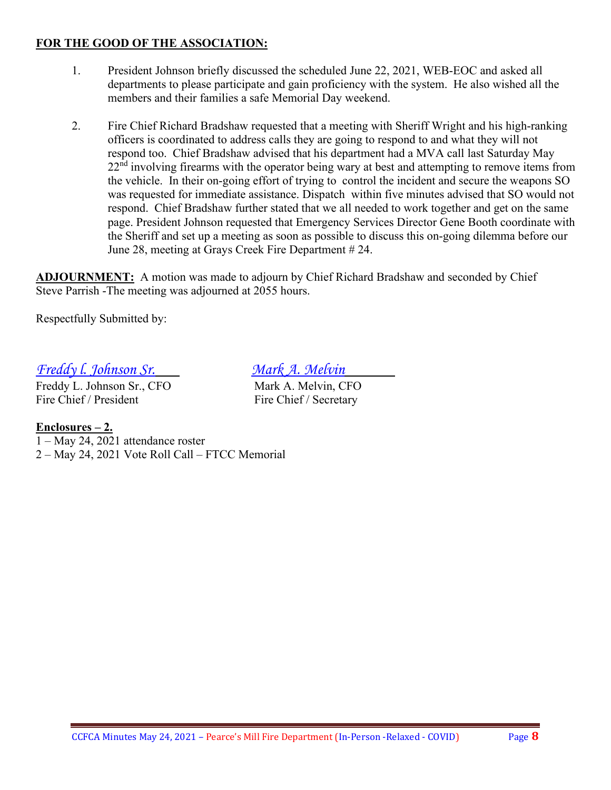#### **FOR THE GOOD OF THE ASSOCIATION:**

- 1. President Johnson briefly discussed the scheduled June 22, 2021, WEB-EOC and asked all departments to please participate and gain proficiency with the system. He also wished all the members and their families a safe Memorial Day weekend.
- 2. Fire Chief Richard Bradshaw requested that a meeting with Sheriff Wright and his high-ranking officers is coordinated to address calls they are going to respond to and what they will not respond too. Chief Bradshaw advised that his department had a MVA call last Saturday May  $22<sup>nd</sup>$  involving firearms with the operator being wary at best and attempting to remove items from the vehicle. In their on-going effort of trying to control the incident and secure the weapons SO was requested for immediate assistance. Dispatch within five minutes advised that SO would not respond. Chief Bradshaw further stated that we all needed to work together and get on the same page. President Johnson requested that Emergency Services Director Gene Booth coordinate with the Sheriff and set up a meeting as soon as possible to discuss this on-going dilemma before our June 28, meeting at Grays Creek Fire Department # 24.

**ADJOURNMENT:** A motion was made to adjourn by Chief Richard Bradshaw and seconded by Chief Steve Parrish -The meeting was adjourned at 2055 hours.

Respectfully Submitted by:

# *Freddy l. Johnson Sr. Mark A. Melvin*

Freddy L. Johnson Sr., CFO Mark A. Melvin, CFO Fire Chief / President Fire Chief / Secretary

**Enclosures – 2.** 1 – May 24, 2021 attendance roster 2 – May 24, 2021 Vote Roll Call – FTCC Memorial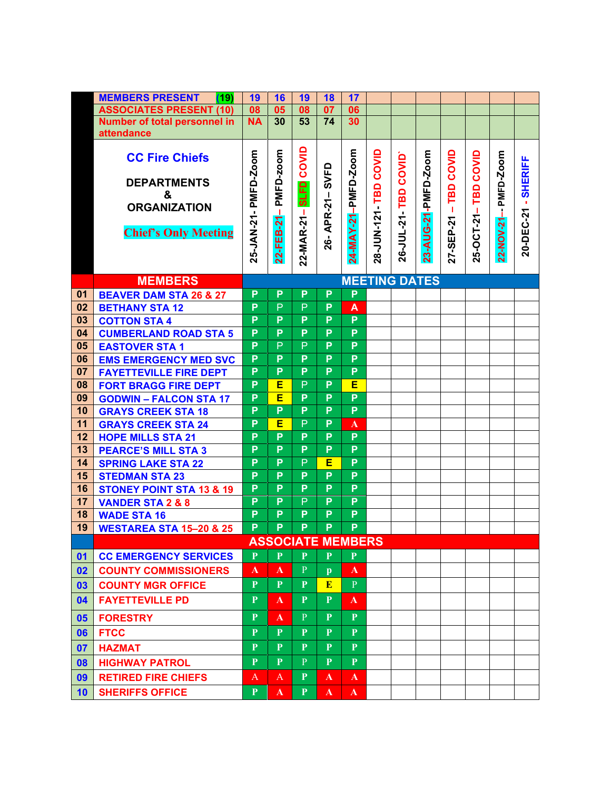|    | <b>MEMBERS PRESENT</b><br>(19)      | 19                   | 16           | 19                       | <b>18</b>      | 17                      |                |            |                     |           |            |            |                |  |
|----|-------------------------------------|----------------------|--------------|--------------------------|----------------|-------------------------|----------------|------------|---------------------|-----------|------------|------------|----------------|--|
|    | <b>ASSOCIATES PRESENT (10)</b>      | 08                   | 05           | 08                       | 07             | 06                      |                |            |                     |           |            |            |                |  |
|    | Number of total personnel in        | <b>NA</b>            | 30           | 53                       | 74             | 30                      |                |            |                     |           |            |            |                |  |
|    | attendance                          |                      |              |                          |                |                         |                |            |                     |           |            |            |                |  |
|    |                                     |                      |              |                          |                |                         |                |            |                     |           |            |            |                |  |
|    | <b>CC Fire Chiefs</b>               | PMFD-Zoom            | PMFD-zoom    | COVID                    |                | 24-MAY-21-PMFD-Zoom     | COVID          | COVID      | 23-AUG-21-PMFD-Zoom | COVID     | COVID      | PMFD-Zoom  | <b>SHERIFF</b> |  |
|    |                                     |                      |              |                          | SVFD           |                         |                |            |                     |           |            |            |                |  |
|    | <b>DEPARTMENTS</b>                  |                      |              | <b>SLFD</b>              |                |                         | 28-JUN-121-TBD |            |                     | TBD       | TBD        |            |                |  |
|    | &<br><b>ORGANIZATION</b>            |                      |              |                          |                |                         |                | TBD        |                     |           |            |            |                |  |
|    |                                     |                      | ┸            |                          | APR-21-        |                         |                |            |                     | т         | 25-OCT-21- |            | 20-DEC-21      |  |
|    | <b>Chief's Only Meeting</b>         | 25-JAN-21-           | 22-FEB-21    | 22-MAR-21-               |                |                         |                | 26-JUL-21- |                     | 27-SEP-21 |            | 22-NOV-21- |                |  |
|    |                                     |                      |              |                          | 26-            |                         |                |            |                     |           |            |            |                |  |
|    |                                     |                      |              |                          |                |                         |                |            |                     |           |            |            |                |  |
|    |                                     |                      |              |                          |                |                         |                |            |                     |           |            |            |                |  |
|    | <b>MEMBERS</b>                      | <b>MEETING DATES</b> |              |                          |                |                         |                |            |                     |           |            |            |                |  |
| 01 | <b>BEAVER DAM STA 26 &amp; 27</b>   | P                    | P            | P                        | P              | P                       |                |            |                     |           |            |            |                |  |
| 02 | <b>BETHANY STA 12</b>               | P                    | P            | P                        | P              | A                       |                |            |                     |           |            |            |                |  |
| 03 | <b>COTTON STA 4</b>                 | P                    | P            | P                        | P              | P                       |                |            |                     |           |            |            |                |  |
| 04 | <b>CUMBERLAND ROAD STA 5</b>        | P                    | P            | P                        | P              | P                       |                |            |                     |           |            |            |                |  |
| 05 | <b>EASTOVER STA 1</b>               | P                    | $\mathsf{P}$ | $\mathsf{P}$             | $\overline{P}$ | P                       |                |            |                     |           |            |            |                |  |
| 06 | <b>EMS EMERGENCY MED SVC</b>        | P                    | P            | P                        | $\overline{P}$ | P                       |                |            |                     |           |            |            |                |  |
| 07 | <b>FAYETTEVILLE FIRE DEPT</b>       | P                    | P            | P                        | P              | P                       |                |            |                     |           |            |            |                |  |
| 08 | <b>FORT BRAGG FIRE DEPT</b>         | P                    | Е            | P                        | P              | E                       |                |            |                     |           |            |            |                |  |
| 09 | <b>GODWIN - FALCON STA 17</b>       | P                    | E            | P                        | P              | P                       |                |            |                     |           |            |            |                |  |
| 10 | <b>GRAYS CREEK STA 18</b>           | P                    | P            | P                        | P              | P                       |                |            |                     |           |            |            |                |  |
| 11 | <b>GRAYS CREEK STA 24</b>           | P                    | E            | $\mathsf{P}$             | P              | $\overline{\mathbf{A}}$ |                |            |                     |           |            |            |                |  |
| 12 | <b>HOPE MILLS STA 21</b>            | P                    | P            | P                        | $\overline{P}$ | P                       |                |            |                     |           |            |            |                |  |
| 13 | <b>PEARCE'S MILL STA 3</b>          | P                    | P            | P                        | P              | P                       |                |            |                     |           |            |            |                |  |
| 14 | <b>SPRING LAKE STA 22</b>           | P                    | P            | P                        | Е              | P                       |                |            |                     |           |            |            |                |  |
| 15 | <b>STEDMAN STA 23</b>               | P                    | P            | P                        | P              | P                       |                |            |                     |           |            |            |                |  |
| 16 | <b>STONEY POINT STA 13 &amp; 19</b> | P                    | P            | P                        | P              | P                       |                |            |                     |           |            |            |                |  |
| 17 | <b>VANDER STA 2 &amp; 8</b>         | P                    | P            | $\mathsf{P}$             | P              | P                       |                |            |                     |           |            |            |                |  |
| 18 | <b>WADE STA 16</b>                  | P                    | P            | P                        | P              | P                       |                |            |                     |           |            |            |                |  |
| 19 | <b>WESTAREA STA 15-20 &amp; 25</b>  | P                    | P            | P                        | P              | P                       |                |            |                     |           |            |            |                |  |
|    |                                     |                      |              | <b>ASSOCIATE MEMBERS</b> |                |                         |                |            |                     |           |            |            |                |  |
| 01 | <b>CC EMERGENCY SERVICES</b>        | P                    | P            | P.                       | $\mathbf{P}$   | P                       |                |            |                     |           |            |            |                |  |
| 02 | <b>COUNTY COMMISSIONERS</b>         | A                    | A            | $\mathbf{P}$             | $\mathbf{p}$   | ${\bf A}$               |                |            |                     |           |            |            |                |  |
| 03 | <b>COUNTY MGR OFFICE</b>            | $\mathbf{P}$         | $\mathbf{P}$ | P                        | E              | P                       |                |            |                     |           |            |            |                |  |
| 04 | <b>FAYETTEVILLE PD</b>              | $\mathbf{P}$         | A            | P                        | $\mathbf{P}$   | A                       |                |            |                     |           |            |            |                |  |
| 05 | <b>FORESTRY</b>                     | $\mathbf{P}$         | A            | $\mathbf{P}$             | P              | P                       |                |            |                     |           |            |            |                |  |
| 06 | <b>FTCC</b>                         | $\mathbf{P}$         | $\mathbf{P}$ | $\mathbf{P}$             | $\mathbf{P}$   | $\mathbf{P}$            |                |            |                     |           |            |            |                |  |
| 07 | <b>HAZMAT</b>                       | $\mathbf{P}$         | $\mathbf{P}$ | $\mathbf{P}$             | P              | $\overline{P}$          |                |            |                     |           |            |            |                |  |
| 08 | <b>HIGHWAY PATROL</b>               | $\mathbf{P}$         | $\mathbf{P}$ | P                        | $\mathbf{P}$   | P                       |                |            |                     |           |            |            |                |  |
| 09 | <b>RETIRED FIRE CHIEFS</b>          | A                    | A            | $\mathbf{P}$             | $\mathbf{A}$   | $\mathbf{A}$            |                |            |                     |           |            |            |                |  |
| 10 | <b>SHERIFFS OFFICE</b>              | P                    | $\mathbf{A}$ | P                        | $\mathbf{A}$   | $\mathbf{A}$            |                |            |                     |           |            |            |                |  |